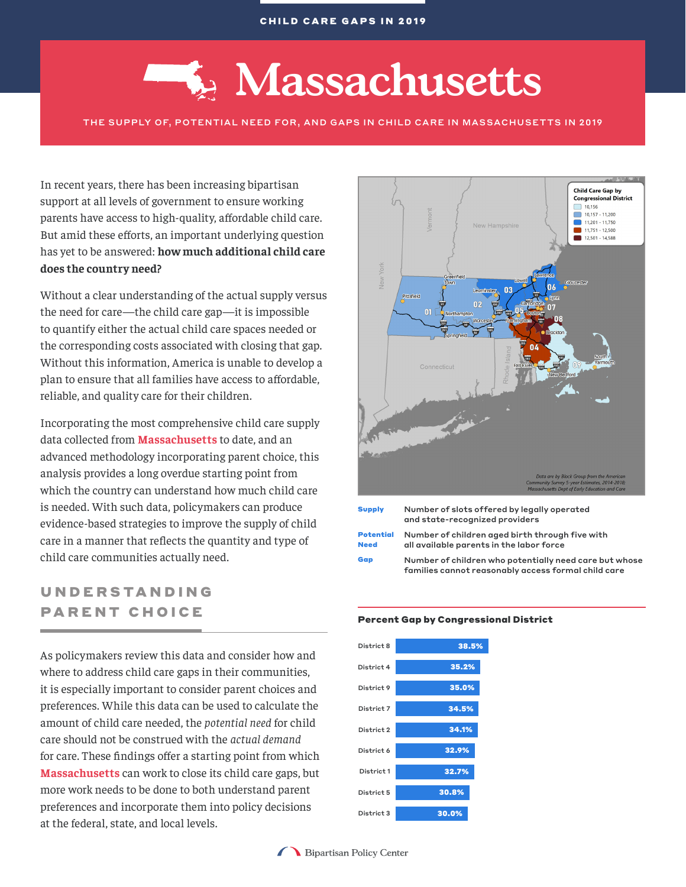# **Massachusetts**

THE SUPPLY OF, POTENTIAL NEED FOR, AND GAPS IN CHILD CARE IN MASSACHUSETTS IN 2019

In recent years, there has been increasing bipartisan support at all levels of government to ensure working parents have access to high-quality, affordable child care. But amid these efforts, an important underlying question has yet to be answered: **how much additional child care does the country need?**

Without a clear understanding of the actual supply versus the need for care—the child care gap—it is impossible to quantify either the actual child care spaces needed or the corresponding costs associated with closing that gap. Without this information, America is unable to develop a plan to ensure that all families have access to affordable, reliable, and quality care for their children.

Incorporating the most comprehensive child care supply data collected from **Massachusetts** to date, and an advanced methodology incorporating parent choice, this analysis provides a long overdue starting point from which the country can understand how much child care is needed. With such data, policymakers can produce evidence-based strategies to improve the supply of child care in a manner that reflects the quantity and type of child care communities actually need.

# UNDERSTANDING PARENT CHOICE

As policymakers review this data and consider how and where to address child care gaps in their communities, it is especially important to consider parent choices and preferences. While this data can be used to calculate the amount of child care needed, the *potential need* for child care should not be construed with the *actual demand* for care. These findings offer a starting point from which **Massachusetts** can work to close its child care gaps, but more work needs to be done to both understand parent preferences and incorporate them into policy decisions at the federal, state, and local levels.